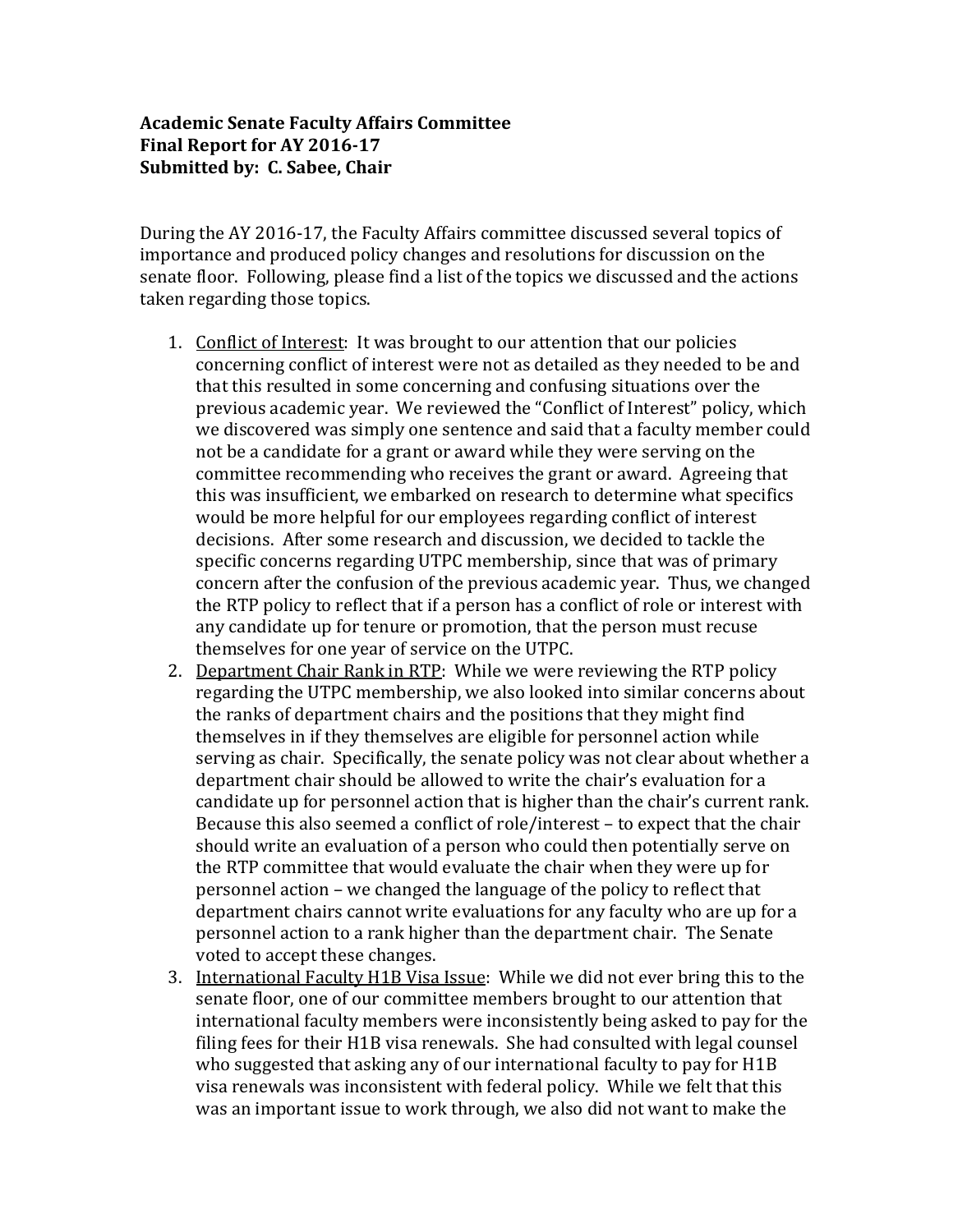## **Academic Senate Faculty Affairs Committee Final Report for AY 2016-17 Submitted by: C. Sabee, Chair**

During the AY 2016-17, the Faculty Affairs committee discussed several topics of importance and produced policy changes and resolutions for discussion on the senate floor. Following, please find a list of the topics we discussed and the actions taken regarding those topics.

- 1. Conflict of Interest: It was brought to our attention that our policies concerning conflict of interest were not as detailed as they needed to be and that this resulted in some concerning and confusing situations over the previous academic year. We reviewed the "Conflict of Interest" policy, which we discovered was simply one sentence and said that a faculty member could not be a candidate for a grant or award while they were serving on the committee recommending who receives the grant or award. Agreeing that this was insufficient, we embarked on research to determine what specifics would be more helpful for our employees regarding conflict of interest decisions. After some research and discussion, we decided to tackle the specific concerns regarding UTPC membership, since that was of primary concern after the confusion of the previous academic year. Thus, we changed the RTP policy to reflect that if a person has a conflict of role or interest with any candidate up for tenure or promotion, that the person must recuse themselves for one year of service on the UTPC.
- 2. Department Chair Rank in RTP: While we were reviewing the RTP policy regarding the UTPC membership, we also looked into similar concerns about the ranks of department chairs and the positions that they might find themselves in if they themselves are eligible for personnel action while serving as chair. Specifically, the senate policy was not clear about whether a department chair should be allowed to write the chair's evaluation for a candidate up for personnel action that is higher than the chair's current rank. Because this also seemed a conflict of role/interest – to expect that the chair should write an evaluation of a person who could then potentially serve on the RTP committee that would evaluate the chair when they were up for personnel action – we changed the language of the policy to reflect that department chairs cannot write evaluations for any faculty who are up for a personnel action to a rank higher than the department chair. The Senate voted to accept these changes.
- 3. International Faculty H1B Visa Issue: While we did not ever bring this to the senate floor, one of our committee members brought to our attention that international faculty members were inconsistently being asked to pay for the filing fees for their H1B visa renewals. She had consulted with legal counsel who suggested that asking any of our international faculty to pay for H1B visa renewals was inconsistent with federal policy. While we felt that this was an important issue to work through, we also did not want to make the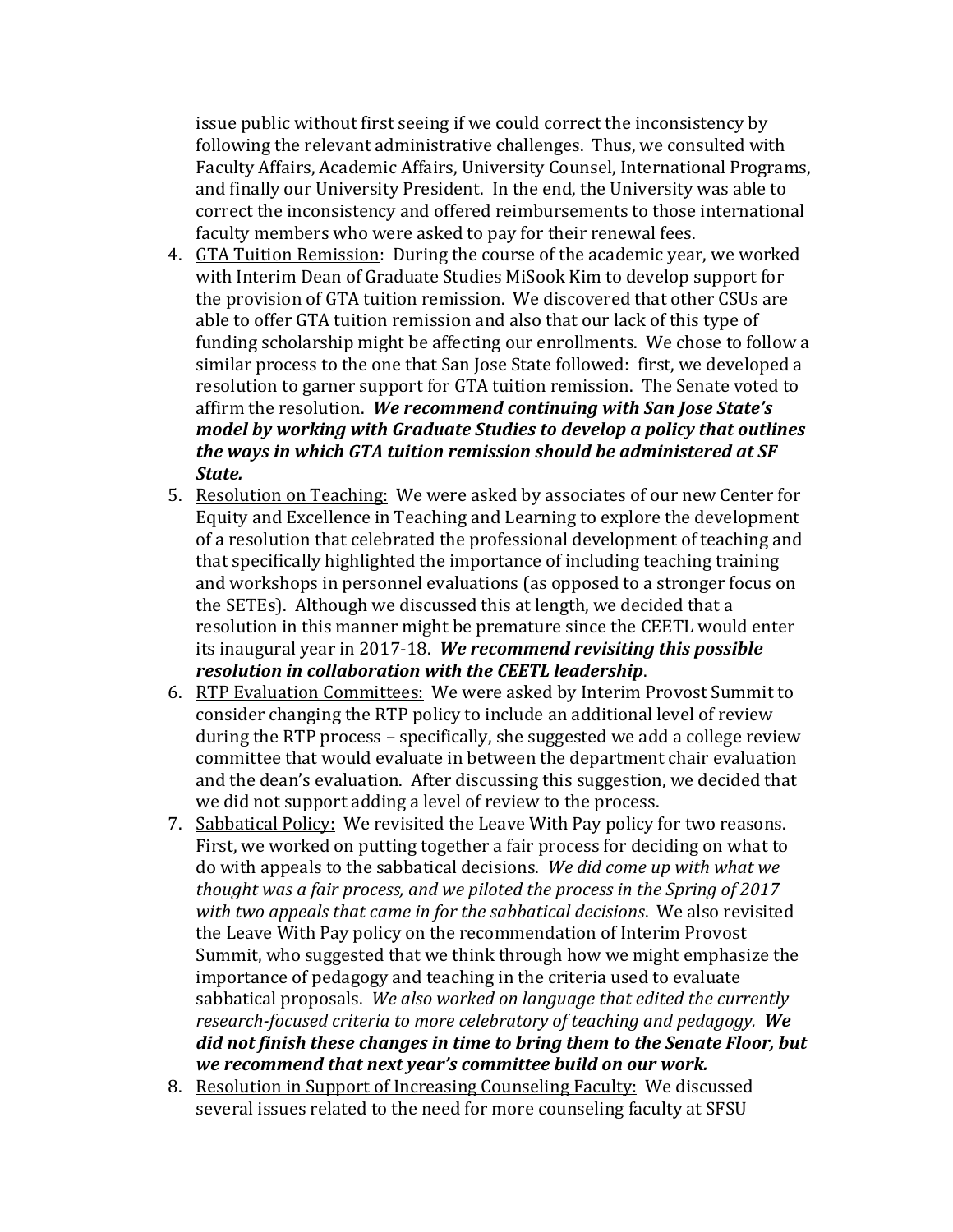issue public without first seeing if we could correct the inconsistency by following the relevant administrative challenges. Thus, we consulted with Faculty Affairs, Academic Affairs, University Counsel, International Programs, and finally our University President. In the end, the University was able to correct the inconsistency and offered reimbursements to those international faculty members who were asked to pay for their renewal fees.

- 4. GTA Tuition Remission: During the course of the academic year, we worked with Interim Dean of Graduate Studies MiSook Kim to develop support for the provision of GTA tuition remission. We discovered that other CSUs are able to offer GTA tuition remission and also that our lack of this type of funding scholarship might be affecting our enrollments. We chose to follow a similar process to the one that San Jose State followed: first, we developed a resolution to garner support for GTA tuition remission. The Senate voted to affirm the resolution. *We recommend continuing with San Jose State's model by working with Graduate Studies to develop a policy that outlines the ways in which GTA tuition remission should be administered at SF State.*
- 5. Resolution on Teaching: We were asked by associates of our new Center for Equity and Excellence in Teaching and Learning to explore the development of a resolution that celebrated the professional development of teaching and that specifically highlighted the importance of including teaching training and workshops in personnel evaluations (as opposed to a stronger focus on the SETEs). Although we discussed this at length, we decided that a resolution in this manner might be premature since the CEETL would enter its inaugural year in 2017-18. *We recommend revisiting this possible resolution in collaboration with the CEETL leadership*.
- 6. RTP Evaluation Committees: We were asked by Interim Provost Summit to consider changing the RTP policy to include an additional level of review during the RTP process – specifically, she suggested we add a college review committee that would evaluate in between the department chair evaluation and the dean's evaluation. After discussing this suggestion, we decided that we did not support adding a level of review to the process.
- 7. Sabbatical Policy: We revisited the Leave With Pay policy for two reasons. First, we worked on putting together a fair process for deciding on what to do with appeals to the sabbatical decisions. *We did come up with what we thought was a fair process, and we piloted the process in the Spring of 2017 with two appeals that came in for the sabbatical decisions*. We also revisited the Leave With Pay policy on the recommendation of Interim Provost Summit, who suggested that we think through how we might emphasize the importance of pedagogy and teaching in the criteria used to evaluate sabbatical proposals. *We also worked on language that edited the currently research-focused criteria to more celebratory of teaching and pedagogy. We did not finish these changes in time to bring them to the Senate Floor, but we recommend that next year's committee build on our work.*
- 8. Resolution in Support of Increasing Counseling Faculty: We discussed several issues related to the need for more counseling faculty at SFSU